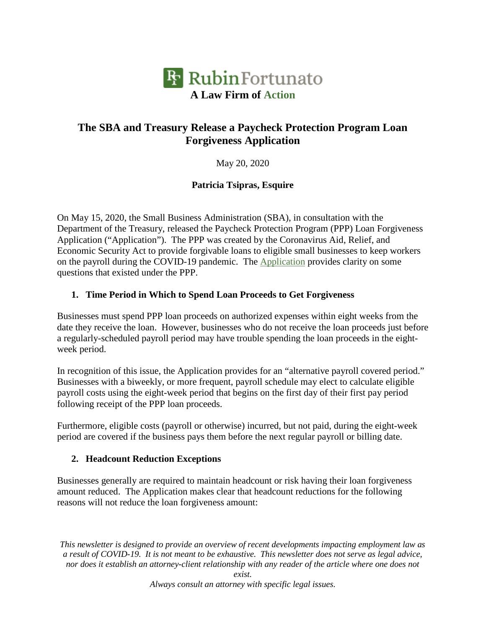

# **The SBA and Treasury Release a Paycheck Protection Program Loan Forgiveness Application**

May 20, 2020

#### **Patricia Tsipras, Esquire**

On May 15, 2020, the Small Business Administration (SBA), in consultation with the Department of the Treasury, released the Paycheck Protection Program (PPP) Loan Forgiveness Application ("Application"). The PPP was created by the Coronavirus Aid, Relief, and Economic Security Act to provide forgivable loans to eligible small businesses to keep workers on the payroll during the COVID-19 pandemic. The Application provides clarity on some questions that existed under the PPP.

#### **1. Time Period in Which to Spend Loan Proceeds to Get Forgiveness**

Businesses must spend PPP loan proceeds on authorized expenses within eight weeks from the date they receive the loan. However, businesses who do not receive the loan proceeds just before a regularly-scheduled payroll period may have trouble spending the loan proceeds in the eightweek period.

In recognition of this issue, the Application provides for an "alternative payroll covered period." Businesses with a biweekly, or more frequent, payroll schedule may elect to calculate eligible payroll costs using the eight-week period that begins on the first day of their first pay period following receipt of the PPP loan proceeds.

Furthermore, eligible costs (payroll or otherwise) incurred, but not paid, during the eight-week period are covered if the business pays them before the next regular payroll or billing date.

#### **2. Headcount Reduction Exceptions**

Businesses generally are required to maintain headcount or risk having their loan forgiveness amount reduced. The Application makes clear that headcount reductions for the following reasons will not reduce the loan forgiveness amount:

*This newsletter is designed to provide an overview of recent developments impacting employment law as a result of COVID-19. It is not meant to be exhaustive. This newsletter does not serve as legal advice, nor does it establish an attorney-client relationship with any reader of the article where one does not*

*exist.*

*Always consult an attorney with specific legal issues.*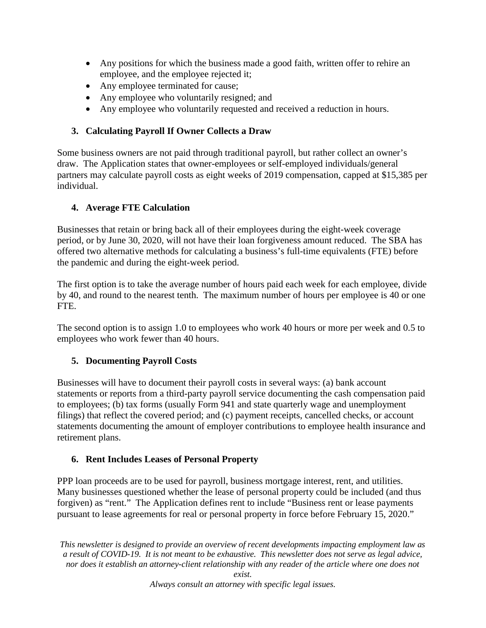- Any positions for which the business made a good faith, written offer to rehire an employee, and the employee rejected it;
- Any employee terminated for cause;
- Any employee who voluntarily resigned; and
- Any employee who voluntarily requested and received a reduction in hours.

# **3. Calculating Payroll If Owner Collects a Draw**

Some business owners are not paid through traditional payroll, but rather collect an owner's draw. The Application states that owner-employees or self-employed individuals/general partners may calculate payroll costs as eight weeks of 2019 compensation, capped at \$15,385 per individual.

# **4. Average FTE Calculation**

Businesses that retain or bring back all of their employees during the eight-week coverage period, or by June 30, 2020, will not have their loan forgiveness amount reduced. The SBA has offered two alternative methods for calculating a business's full-time equivalents (FTE) before the pandemic and during the eight-week period.

The first option is to take the average number of hours paid each week for each employee, divide by 40, and round to the nearest tenth. The maximum number of hours per employee is 40 or one FTE.

The second option is to assign 1.0 to employees who work 40 hours or more per week and 0.5 to employees who work fewer than 40 hours.

# **5. Documenting Payroll Costs**

Businesses will have to document their payroll costs in several ways: (a) bank account statements or reports from a third-party payroll service documenting the cash compensation paid to employees; (b) tax forms (usually Form 941 and state quarterly wage and unemployment filings) that reflect the covered period; and (c) payment receipts, cancelled checks, or account statements documenting the amount of employer contributions to employee health insurance and retirement plans.

# **6. Rent Includes Leases of Personal Property**

PPP loan proceeds are to be used for payroll, business mortgage interest, rent, and utilities. Many businesses questioned whether the lease of personal property could be included (and thus forgiven) as "rent." The Application defines rent to include "Business rent or lease payments pursuant to lease agreements for real or personal property in force before February 15, 2020."

*This newsletter is designed to provide an overview of recent developments impacting employment law as a result of COVID-19. It is not meant to be exhaustive. This newsletter does not serve as legal advice, nor does it establish an attorney-client relationship with any reader of the article where one does not*

*Always consult an attorney with specific legal issues.*

*exist.*